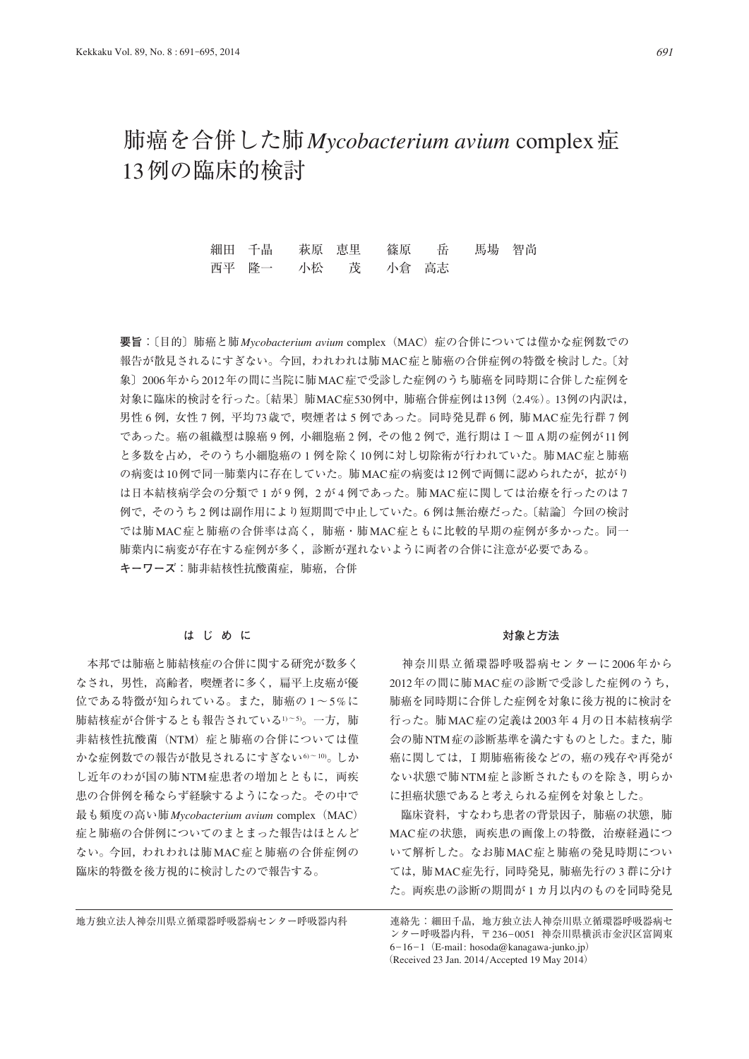# 肺癌を合併した肺*Mycobacterium avium* complex症 13例の臨床的検討

細田 千晶 萩原 恵里 篠原 岳 馬場 智尚 西平 隆一 小松 茂 小倉 高志

**要旨**:〔目的〕肺癌と肺*Mycobacterium avium* complex(MAC)症の合併については僅かな症例数での 報告が散見されるにすぎない。今回,われわれは肺MAC症と肺癌の合併症例の特徴を検討した。〔対 象〕2006年から2012年の間に当院に肺MAC症で受診した症例のうち肺癌を同時期に合併した症例を 対象に臨床的検討を行った。〔結果〕肺MAC症530例中,肺癌合併症例は13例(2.4%)。13例の内訳は, 男性 6 例, 女性 7 例, 平均 73 歳で, 喫煙者は 5 例であった。同時発見群 6 例, 肺 MAC症先行群 7 例 であった。癌の組織型は腺癌 9 例,小細胞癌 2 例,その他 2 例で,進行期はⅠ~ⅢA期の症例が11例 と多数を占め,そのうち小細胞癌の 1 例を除く10例に対し切除術が行われていた。肺MAC症と肺癌 の病変は10例で同一肺葉内に存在していた。肺MAC症の病変は12例で両側に認められたが、拡がり は日本結核病学会の分類で1が9例, 2が4例であった。肺MAC症に関しては治療を行ったのは7 例で,そのうち 2 例は副作用により短期間で中止していた。6 例は無治療だった。〔結論〕今回の検討 では肺MAC症と肺癌の合併率は高く,肺癌・肺MAC症ともに比較的早期の症例が多かった。同一 肺葉内に病変が存在する症例が多く,診断が遅れないように両者の合併に注意が必要である。 **キーワーズ**:肺非結核性抗酸菌症,肺癌,合併

#### **はじめに**

 本邦では肺癌と肺結核症の合併に関する研究が数多く なされ,男性,高齢者,喫煙者に多く,扁平上皮癌が優 位である特徴が知られている。また、肺癌の1~5%に 肺結核症が合併するとも報告されている1)~5)。一方, 肺 非結核性抗酸菌(NTM)症と肺癌の合併については僅 かな症例数での報告が散見されるにすぎない6~10)。しか し近年のわが国の肺NTM症患者の増加とともに、両疾 患の合併例を稀ならず経験するようになった。その中で 最も頻度の高い肺*Mycobacterium avium* complex(MAC) 症と肺癌の合併例についてのまとまった報告はほとんど ない。今回,われわれは肺MAC症と肺癌の合併症例の 臨床的特徴を後方視的に検討したので報告する。

#### **対象と方法**

 神奈川県立循環器呼吸器病センターに2006年から 2012年の間に肺MAC症の診断で受診した症例のうち, 肺癌を同時期に合併した症例を対象に後方視的に検討を 行った。肺MAC症の定義は2003年 4 月の日本結核病学 会の肺NTM症の診断基準を満たすものとした。また,肺 癌に関しては,Ⅰ期肺癌術後などの,癌の残存や再発が ない状態で肺NTM症と診断されたものを除き,明らか に担癌状態であると考えられる症例を対象とした。

 臨床資料,すなわち患者の背景因子,肺癌の状態,肺 MAC症の状態,両疾患の画像上の特徴,治療経過につ いて解析した。なお肺MAC症と肺癌の発見時期につい ては,肺MAC症先行,同時発見,肺癌先行の 3 群に分け た。両疾患の診断の期間が 1 カ月以内のものを同時発見

地方独立法人神奈川県立循環器呼吸器病センター呼吸器内科 連絡先:細田千晶,地方独立法人神奈川県立循環器呼吸器病セ ンター呼吸器内科, 〒 236-0051 神奈川県横浜市金沢区富岡東  $6-16-1$  (E-mail: hosoda@kanagawa-junko.jp) (Received 23 Jan. 2014 / Accepted 19 May 2014)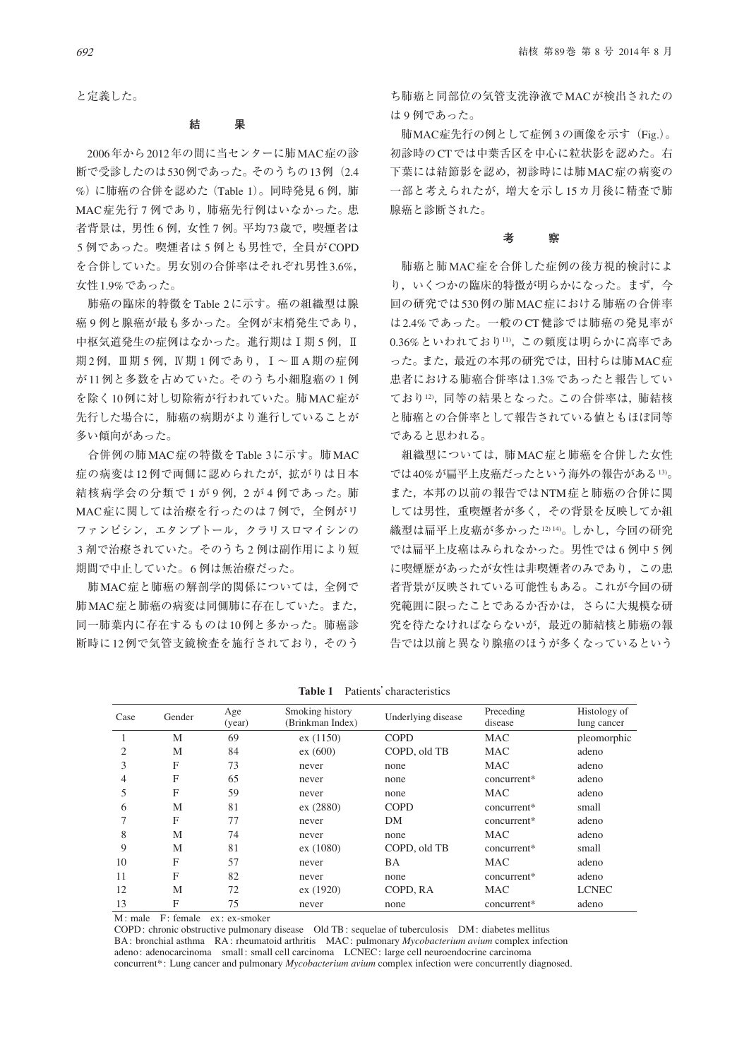と定義した。

#### **結 果**

2006年から2012年の間に当センターに肺MAC症の診 断で受診したのは530例であった。そのうちの13例 (2.4 %)に肺癌の合併を認めた(Table 1)。同時発見 6 例,肺 MAC症先行7例であり、肺癌先行例はいなかった。患 者背景は,男性 6 例,女性 7 例。平均73歳で,喫煙者は 5 例であった。喫煙者は5例とも男性で、全員がCOPD を合併していた。男女別の合併率はそれぞれ男性3.6%, 女性1.9%であった。

 肺癌の臨床的特徴をTable 2に示す。癌の組織型は腺 癌 9 例と腺癌が最も多かった。全例が末梢発生であり, 中枢気道発生の症例はなかった。進行期はⅠ期 5 例, Ⅱ 期2例, Ⅲ期 5 例, Ⅳ期 1 例であり, Ⅰ~ⅢA期の症例 が11例と多数を占めていた。そのうち小細胞癌の 1 例 を除く10例に対し切除術が行われていた。肺MAC症が 先行した場合に,肺癌の病期がより進行していることが 多い傾向があった。

 合併例の肺MAC症の特徴をTable 3に示す。肺MAC 症の病変は12例で両側に認められたが,拡がりは日本 結核病学会の分類で1が9例, 2が4例であった。肺 MAC症に関しては治療を行ったのは7例で、全例がリ ファンピシン,エタンブトール,クラリスロマイシンの 3 剤で治療されていた。そのうち 2 例は副作用により短 期間で中止していた。6 例は無治療だった。

 肺MAC症と肺癌の解剖学的関係については,全例で 肺MAC症と肺癌の病変は同側肺に存在していた。また, 同一肺葉内に存在するものは10例と多かった。肺癌診 断時に12例で気管支鏡検査を施行されており,そのう

ち肺癌と同部位の気管支洗浄液でMACが検出されたの は 9 例であった。

 肺MAC症先行の例として症例 3 の画像を示す(Fig.)。 初診時のCTでは中葉舌区を中心に粒状影を認めた。右 下葉には結節影を認め,初診時には肺MAC症の病変の 一部と考えられたが,増大を示し15カ月後に精査で肺 腺癌と診断された。

#### **考 察**

 肺癌と肺MAC症を合併した症例の後方視的検討によ り,いくつかの臨床的特徴が明らかになった。まず,今 回の研究では530例の肺MAC症における肺癌の合併率 は2.4%であった。一般のCT健診では肺癌の発見率が 0.36%といわれており11),この頻度は明らかに高率であ った。また,最近の本邦の研究では,田村らは肺MAC症 患者における肺癌合併率は1.3%であったと報告してい ており12),同等の結果となった。この合併率は,肺結核 と肺癌との合併率として報告されている値ともほぼ同等 であると思われる。

 組織型については,肺MAC症と肺癌を合併した女性 では40%が扁平上皮癌だったという海外の報告がある13)。 また,本邦の以前の報告ではNTM症と肺癌の合併に関 しては男性,重喫煙者が多く,その背景を反映してか組 織型は扁平上皮癌が多かった12)14)。しかし、今回の研究 では扁平上皮癌はみられなかった。男性では 6 例中 5 例 に喫煙歴があったが女性は非喫煙者のみであり,この患 者背景が反映されている可能性もある。これが今回の研 究範囲に限ったことであるか否かは,さらに大規模な研 究を待たなければならないが,最近の肺結核と肺癌の報 告では以前と異なり腺癌のほうが多くなっているという

| Case | Gender | Age<br>(year) | Smoking history<br>(Brinkman Index) | Underlying disease | Preceding<br>disease | Histology of<br>lung cancer |
|------|--------|---------------|-------------------------------------|--------------------|----------------------|-----------------------------|
|      | M      | 69            | ex(1150)                            | <b>COPD</b>        | <b>MAC</b>           | pleomorphic                 |
| 2    | M      | 84            | ex (600)                            | COPD, old TB       | <b>MAC</b>           | adeno                       |
| 3    | F      | 73            | never                               | none               | <b>MAC</b>           | adeno                       |
| 4    | F      | 65            | never                               | none               | concurrent*          | adeno                       |
| 5    | F      | 59            | never                               | none               | <b>MAC</b>           | adeno                       |
| 6    | M      | 81            | ex (2880)                           | <b>COPD</b>        | concurrent*          | small                       |
| 7    | F      | 77            | never                               | DM                 | concurrent*          | adeno                       |
| 8    | M      | 74            | never                               | none               | <b>MAC</b>           | adeno                       |
| 9    | M      | 81            | ex(1080)                            | COPD, old TB       | concurrent*          | small                       |
| 10   | F      | 57            | never                               | <b>BA</b>          | <b>MAC</b>           | adeno                       |
| 11   | F      | 82            | never                               | none               | concurrent*          | adeno                       |
| 12   | M      | 72            | ex(1920)                            | COPD, RA           | MAC                  | <b>LCNEC</b>                |
| 13   | F      | 75            | never                               | none               | concurrent*          | adeno                       |

**Table 1** Patients' characteristics

 $M:$  male  $F:$  female  $ex:$  ex-smoker

COPD : chronic obstructive pulmonary disease Old TB : sequelae of tuberculosis DM : diabetes mellitus BA : bronchial asthma RA : rheumatoid arthritis MAC : pulmonary *Mycobacterium avium* complex infection adeno: adenocarcinoma small: small cell carcinoma LCNEC: large cell neuroendocrine carcinoma concurrent\* : Lung cancer and pulmonary *Mycobacterium avium* complex infection were concurrently diagnosed.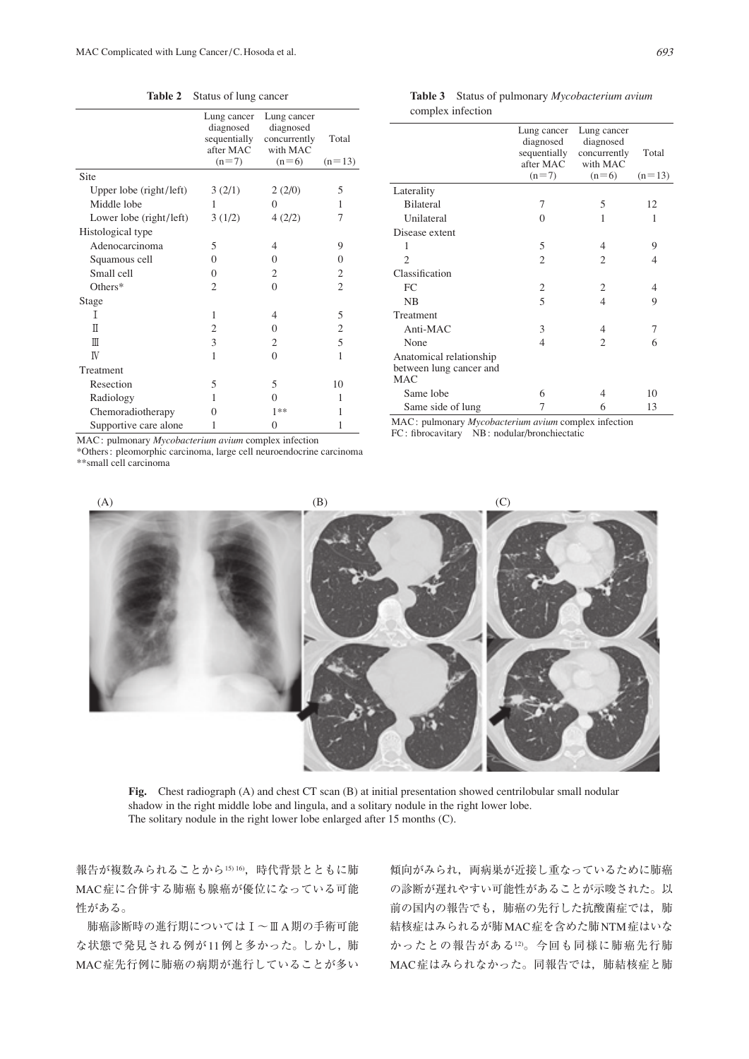|                         | Lung cancer<br>diagnosed<br>sequentially<br>after MAC<br>$(n=7)$ | Lung cancer<br>diagnosed<br>concurrently<br>with MAC<br>$(n=6)$ | Total<br>$(n=13)$ |
|-------------------------|------------------------------------------------------------------|-----------------------------------------------------------------|-------------------|
| Site                    |                                                                  |                                                                 |                   |
| Upper lobe (right/left) | 3(2/1)                                                           | 2(2/0)                                                          | 5                 |
| Middle lobe             | 1                                                                | $\Omega$                                                        | 1                 |
| Lower lobe (right/left) | 3(1/2)                                                           | 4(2/2)                                                          | 7                 |
| Histological type       |                                                                  |                                                                 |                   |
| Adenocarcinoma          | 5                                                                | 4                                                               | 9                 |
| Squamous cell           | $\Omega$                                                         | $\Omega$                                                        | 0                 |
| Small cell              | $\Omega$                                                         | $\overline{c}$                                                  | 2                 |
| $Others*$               | 2                                                                | $\Omega$                                                        | $\overline{c}$    |
| Stage                   |                                                                  |                                                                 |                   |
| Τ                       | 1                                                                | 4                                                               | 5                 |
| Π                       | $\overline{c}$                                                   | 0                                                               | $\mathfrak{2}$    |
| Ш                       | 3                                                                | 2                                                               | 5                 |
| IV                      | 1                                                                | $\Omega$                                                        | 1                 |
| Treatment               |                                                                  |                                                                 |                   |
| Resection               | 5                                                                | 5                                                               | 10                |
| Radiology               | 1                                                                | 0                                                               | 1                 |
| Chemoradiotherapy       | 0                                                                | 1**                                                             | 1                 |
| Supportive care alone   | 1                                                                | 0                                                               | 1                 |

**Table 2** Status of lung cancer **Table 3** Status of pulmonary *Mycobacterium avium* complex infection

|                                                                  | Lung cancer<br>diagnosed  | Lung cancer<br>diagnosed | Total    |
|------------------------------------------------------------------|---------------------------|--------------------------|----------|
|                                                                  | sequentially<br>after MAC | concurrently<br>with MAC |          |
|                                                                  | $(n=7)$                   | $(n=6)$                  | $(n=13)$ |
| Laterality                                                       |                           |                          |          |
| <b>Bilateral</b>                                                 | 7                         | 5                        | 12       |
| Unilateral                                                       | 0                         | 1                        | 1        |
| Disease extent                                                   |                           |                          |          |
| 1                                                                | 5                         | 4                        | 9        |
| $\mathfrak{D}$                                                   | $\overline{2}$            | $\overline{c}$           | 4        |
| Classification                                                   |                           |                          |          |
| FC                                                               | 2                         | 2                        | 4        |
| NB                                                               | 5                         | $\overline{4}$           | 9        |
| Treatment                                                        |                           |                          |          |
| Anti-MAC                                                         | 3                         | 4                        | 7        |
| None                                                             | 4                         | $\overline{c}$           | 6        |
| Anatomical relationship<br>between lung cancer and<br><b>MAC</b> |                           |                          |          |
| Same lobe                                                        | 6                         | 4                        | 10       |
| Same side of lung                                                | 7                         | 6                        | 13       |
|                                                                  |                           |                          |          |

MAC : pulmonary *Mycobacterium avium* complex infection FC: fibrocavitary NB: nodular/bronchiectatic

MAC : pulmonary *Mycobacterium avium* complex infection

\*Others : pleomorphic carcinoma, large cell neuroendocrine carcinoma \*\*small cell carcinoma





**Fig.** Chest radiograph (A) and chest CT scan (B) at initial presentation showed centrilobular small nodular shadow in the right middle lobe and lingula, and a solitary nodule in the right lower lobe. The solitary nodule in the right lower lobe enlarged after 15 months (C).

報告が複数みられることから15)16),時代背景とともに肺 MAC症に合併する肺癌も腺癌が優位になっている可能 性がある。

 肺癌診断時の進行期についてはⅠ~ⅢA期の手術可能 な状態で発見される例が11例と多かった。しかし、肺 MAC症先行例に肺癌の病期が進行していることが多い

傾向がみられ、両病巣が近接し重なっているために肺癌 の診断が遅れやすい可能性があることが示唆された。以 前の国内の報告でも,肺癌の先行した抗酸菌症では,肺 結核症はみられるが肺MAC症を含めた肺NTM症はいな かったとの報告がある12)。今回も同様に肺癌先行肺 MAC症はみられなかった。同報告では,肺結核症と肺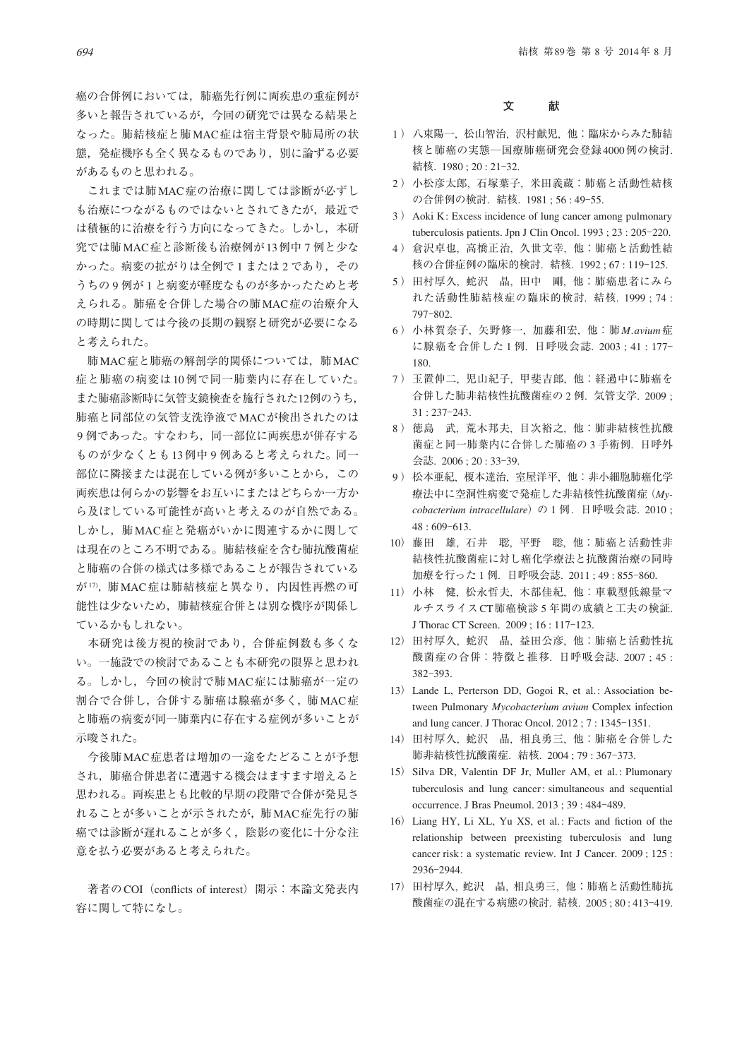癌の合併例においては,肺癌先行例に両疾患の重症例が 多いと報告されているが,今回の研究では異なる結果と なった。肺結核症と肺MAC症は宿主背景や肺局所の状 態,発症機序も全く異なるものであり,別に論ずる必要 があるものと思われる。

 これまでは肺MAC症の治療に関しては診断が必ずし も治療につながるものではないとされてきたが、最近で は積極的に治療を行う方向になってきた。しかし,本研 究では肺MAC症と診断後も治療例が13例中 7 例と少な かった。病変の拡がりは全例で1または2であり、その うちの9例が1と病変が軽度なものが多かったためと考 えられる。肺癌を合併した場合の肺MAC症の治療介入 の時期に関しては今後の長期の観察と研究が必要になる と考えられた。

 肺MAC症と肺癌の解剖学的関係については,肺MAC 症と肺癌の病変は10例で同一肺葉内に存在していた。 また肺癌診断時に気管支鏡検査を施行された12例のうち, 肺癌と同部位の気管支洗浄液でMACが検出されたのは 9例であった。すなわち、同一部位に両疾患が併存する ものが少なくとも13例中 9 例あると考えられた。同一 部位に隣接または混在している例が多いことから,この 両疾患は何らかの影響をお互いにまたはどちらか一方か ら及ぼしている可能性が高いと考えるのが自然である。 しかし,肺MAC症と発癌がいかに関連するかに関して は現在のところ不明である。肺結核症を含む肺抗酸菌症 と肺癌の合併の様式は多様であることが報告されている が17),肺MAC症は肺結核症と異なり、内因性再燃の可 能性は少ないため,肺結核症合併とは別な機序が関係し ているかもしれない。

 本研究は後方視的検討であり,合併症例数も多くな い。一施設での検討であることも本研究の限界と思われ る。しかし,今回の検討で肺MAC症には肺癌が一定の 割合で合併し,合併する肺癌は腺癌が多く,肺MAC症 と肺癌の病変が同一肺葉内に存在する症例が多いことが 示唆された。

 今後肺MAC症患者は増加の一途をたどることが予想 され,肺癌合併患者に遭遇する機会はますます増えると 思われる。両疾患とも比較的早期の段階で合併が発見さ れることが多いことが示されたが,肺MAC症先行の肺 癌では診断が遅れることが多く,陰影の変化に十分な注 意を払う必要があると考えられた。

著者のCOI (conflicts of interest) 開示:本論文発表内 容に関して特になし。

### **文 献**

- 1 ) 八束陽一, 松山智治, 沢村献児, 他:臨床からみた肺結 核と肺癌の実態―国療肺癌研究会登録4000例の検討. 結核. 1980 ; 20 : 21‒32.
- 2 ) 小松彦太郎, 石塚葉子, 米田義蔵:肺癌と活動性結核 の合併例の検討. 結核. 1981 ; 56 : 49‒55.
- 3 ) Aoki K: Excess incidence of lung cancer among pulmonary tuberculosis patients. Jpn J Clin Oncol. 1993; 23: 205-220.
- 4 ) 倉沢卓也, 高橋正治, 久世文幸, 他:肺癌と活動性結 核の合併症例の臨床的検討. 結核. 1992 ; 67 : 119‒125.
- 5 ) 田村厚久, 蛇沢 晶, 田中 剛, 他:肺癌患者にみら れた活動性肺結核症の臨床的検討. 結核. 1999 ; 74 : 797‒802.
- 6 ) 小林賀奈子, 矢野修一, 加藤和宏, 他:肺*M. avium*症 に腺癌を合併した 1 例. 日呼吸会誌. 2003 ; 41 : 177‒ 180.
- 7 ) 玉置伸二, 児山紀子, 甲斐吉郎, 他:経過中に肺癌を 合併した肺非結核性抗酸菌症の 2 例. 気管支学. 2009 ; 31 : 237‒243.
- 8 ) 徳島 武, 荒木邦夫, 目次裕之, 他:肺非結核性抗酸 菌症と同一肺葉内に合併した肺癌の 3 手術例. 日呼外 会誌. 2006 ; 20 : 33‒39.
- 9 ) 松本亜紀, 榎本達治, 室屋洋平, 他:非小細胞肺癌化学 療法中に空洞性病変で発症した非結核性抗酸菌症(*My*cobacterium intracellulare) の 1 例. 日呼吸会誌. 2010;  $48 : 609 - 613.$
- 10) 藤田 雄, 石井 聡, 平野 聡, 他:肺癌と活動性非 結核性抗酸菌症に対し癌化学療法と抗酸菌治療の同時 加療を行った 1 例. 日呼吸会誌. 2011 ; 49 : 855‒860.
- 11) 小林 健, 松永哲夫, 木部佳紀, 他:車載型低線量マ ルチスライスCT肺癌検診 5 年間の成績と工夫の検証. J Thorac CT Screen. 2009; 16:117-123.
- 12) 田村厚久, 蛇沢 晶, 益田公彦, 他:肺癌と活動性抗 酸菌症の合併:特徴と推移. 日呼吸会誌. 2007 ; 45 : 382‒393.
- 13) Lande L, Perterson DD, Gogoi R, et al.: Association between Pulmonary *Mycobacterium avium* Complex infection and lung cancer. J Thorac Oncol. 2012; 7:1345-1351.
- 14) 田村厚久, 蛇沢 晶, 相良勇三, 他:肺癌を合併した 肺非結核性抗酸菌症. 結核. 2004 ; 79 : 367‒373.
- 15) Silva DR, Valentin DF Jr, Muller AM, et al. : Plumonary tuberculosis and lung cancer: simultaneous and sequential occurrence. J Bras Pneumol. 2013 ; 39 : 484‒489.
- 16) Liang HY, Li XL, Yu XS, et al.: Facts and fiction of the relationship between preexisting tuberculosis and lung cancer risk : a systematic review. Int J Cancer. 2009 ; 125 : 2936‒2944.
- 17) 田村厚久, 蛇沢 晶, 相良勇三, 他:肺癌と活動性肺抗 酸菌症の混在する病態の検討. 結核. 2005 ; 80 : 413‒419.